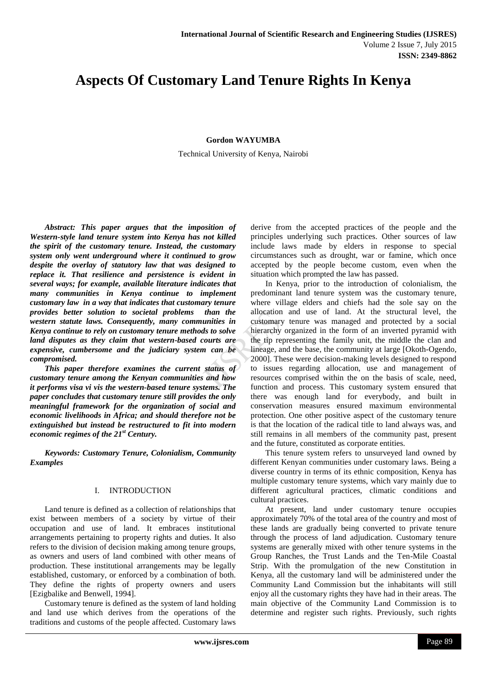# **Aspects Of Customary Land Tenure Rights In Kenya**

**Gordon WAYUMBA**

Technical University of Kenya, Nairobi

*Abstract: This paper argues that the imposition of Western-style land tenure system into Kenya has not killed the spirit of the customary tenure. Instead, the customary system only went underground where it continued to grow despite the overlay of statutory law that was designed to replace it. That resilience and persistence is evident in several ways; for example, available literature indicates that many communities in Kenya continue to implement customary law in a way that indicates that customary tenure provides better solution to societal problems than the western statute laws. Consequently, many communities in Kenya continue to rely on customary tenure methods to solve land disputes as they claim that western-based courts are expensive, cumbersome and the judiciary system can be compromised.*

*This paper therefore examines the current status of customary tenure among the Kenyan communities and how it performs visa vi vis the western-based tenure systems. The paper concludes that customary tenure still provides the only meaningful framework for the organization of social and economic livelihoods in Africa; and should therefore not be extinguished but instead be restructured to fit into modern economic regimes of the 21st Century.*

*Keywords: Customary Tenure, Colonialism, Community Examples*

## I. INTRODUCTION

Land tenure is defined as a collection of relationships that exist between members of a society by virtue of their occupation and use of land. It embraces institutional arrangements pertaining to property rights and duties. It also refers to the division of decision making among tenure groups, as owners and users of land combined with other means of production. These institutional arrangements may be legally established, customary, or enforced by a combination of both. They define the rights of property owners and users [Ezigbalike and Benwell, 1994].

Customary tenure is defined as the system of land holding and land use which derives from the operations of the traditions and customs of the people affected. Customary laws derive from the accepted practices of the people and the principles underlying such practices. Other sources of law include laws made by elders in response to special circumstances such as drought, war or famine, which once accepted by the people become custom, even when the situation which prompted the law has passed.

In Kenya, prior to the introduction of colonialism, the predominant land tenure system was the customary tenure, where village elders and chiefs had the sole say on the allocation and use of land. At the structural level, the customary tenure was managed and protected by a social hierarchy organized in the form of an inverted pyramid with the tip representing the family unit, the middle the clan and lineage, and the base, the community at large [Okoth-Ogendo, 2000]. These were decision-making levels designed to respond to issues regarding allocation, use and management of resources comprised within the on the basis of scale, need, function and process. This customary system ensured that there was enough land for everybody, and built in conservation measures ensured maximum environmental protection. One other positive aspect of the customary tenure is that the location of the radical title to land always was, and still remains in all members of the community past, present and the future, constituted as corporate entities.

This tenure system refers to unsurveyed land owned by different Kenyan communities under customary laws. Being a diverse country in terms of its ethnic composition, Kenya has multiple customary tenure systems, which vary mainly due to different agricultural practices, climatic conditions and cultural practices.

At present, land under customary tenure occupies approximately 70% of the total area of the country and most of these lands are gradually being converted to private tenure through the process of land adjudication. Customary tenure systems are generally mixed with other tenure systems in the Group Ranches, the Trust Lands and the Ten-Mile Coastal Strip. With the promulgation of the new Constitution in Kenya, all the customary land will be administered under the Community Land Commission but the inhabitants will still enjoy all the customary rights they have had in their areas. The main objective of the Community Land Commission is to determine and register such rights. Previously, such rights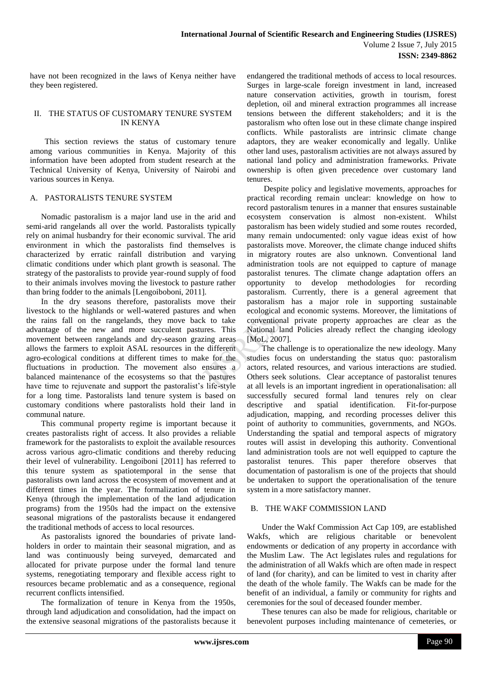have not been recognized in the laws of Kenya neither have they been registered.

## II. THE STATUS OF CUSTOMARY TENURE SYSTEM IN KENYA

This section reviews the status of customary tenure among various communities in Kenya. Majority of this information have been adopted from student research at the Technical University of Kenya, University of Nairobi and various sources in Kenya.

## A. PASTORALISTS TENURE SYSTEM

Nomadic pastoralism is a major land use in the arid and semi-arid rangelands all over the world. Pastoralists typically rely on animal husbandry for their economic survival. The arid environment in which the pastoralists find themselves is characterized by erratic rainfall distribution and varying climatic conditions under which plant growth is seasonal. The strategy of the pastoralists to provide year-round supply of food to their animals involves moving the livestock to pasture rather than bring fodder to the animals [Lengoiboboni, 2011].

In the dry seasons therefore, pastoralists move their livestock to the highlands or well-watered pastures and when the rains fall on the rangelands, they move back to take advantage of the new and more succulent pastures. This movement between rangelands and dry-season grazing areas allows the farmers to exploit ASAL resources in the different agro-ecological conditions at different times to make for the fluctuations in production. The movement also ensures a balanced maintenance of the ecosystems so that the pastures have time to rejuvenate and support the pastoralist's life-style for a long time. Pastoralists land tenure system is based on customary conditions where pastoralists hold their land in communal nature.

This communal property regime is important because it creates pastoralists right of access. It also provides a reliable framework for the pastoralists to exploit the available resources across various agro-climatic conditions and thereby reducing their level of vulnerability. Lengoiboni [2011] has referred to this tenure system as spatiotemporal in the sense that pastoralists own land across the ecosystem of movement and at different times in the year. The formalization of tenure in Kenya (through the implementation of the land adjudication programs) from the 1950s had the impact on the extensive seasonal migrations of the pastoralists because it endangered the traditional methods of access to local resources.

As pastoralists ignored the boundaries of private landholders in order to maintain their seasonal migration, and as land was continuously being surveyed, demarcated and allocated for private purpose under the formal land tenure systems, renegotiating temporary and flexible access right to resources became problematic and as a consequence, regional recurrent conflicts intensified.

The formalization of tenure in Kenya from the 1950s, through land adjudication and consolidation, had the impact on the extensive seasonal migrations of the pastoralists because it endangered the traditional methods of access to local resources. Surges in large-scale foreign investment in land, increased nature conservation activities, growth in tourism, forest depletion, oil and mineral extraction programmes all increase tensions between the different stakeholders; and it is the pastoralism who often lose out in these climate change inspired conflicts. While pastoralists are intrinsic climate change adaptors, they are weaker economically and legally. Unlike other land uses, pastoralism activities are not always assured by national land policy and administration frameworks. Private ownership is often given precedence over customary land tenures.

Despite policy and legislative movements, approaches for practical recording remain unclear: knowledge on how to record pastoralism tenures in a manner that ensures sustainable ecosystem conservation is almost non-existent. Whilst pastoralism has been widely studied and some routes recorded, many remain undocumented: only vague ideas exist of how pastoralists move. Moreover, the climate change induced shifts in migratory routes are also unknown. Conventional land administration tools are not equipped to capture of manage pastoralist tenures. The climate change adaptation offers an opportunity to develop methodologies for recording pastoralism. Currently, there is a general agreement that pastoralism has a major role in supporting sustainable ecological and economic systems. Moreover, the limitations of conventional private property approaches are clear as the National land Policies already reflect the changing ideology [MoL, 2007].

The challenge is to operationalize the new ideology. Many studies focus on understanding the status quo: pastoralism actors, related resources, and various interactions are studied. Others seek solutions. Clear acceptance of pastoralist tenures at all levels is an important ingredient in operationalisation: all successfully secured formal land tenures rely on clear descriptive and spatial identification. Fit-for-purpose adjudication, mapping, and recording processes deliver this point of authority to communities, governments, and NGOs. Understanding the spatial and temporal aspects of migratory routes will assist in developing this authority. Conventional land administration tools are not well equipped to capture the pastoralist tenures. This paper therefore observes that documentation of pastoralism is one of the projects that should be undertaken to support the operationalisation of the tenure system in a more satisfactory manner.

## B. THE WAKF COMMISSION LAND

Under the Wakf Commission Act Cap 109, are established Wakfs, which are religious charitable or benevolent endowments or dedication of any property in accordance with the Muslim Law. The Act legislates rules and regulations for the administration of all Wakfs which are often made in respect of land (for charity), and can be limited to vest in charity after the death of the whole family. The Wakfs can be made for the benefit of an individual, a family or community for rights and ceremonies for the soul of deceased founder member.

These tenures can also be made for religious, charitable or benevolent purposes including maintenance of cemeteries, or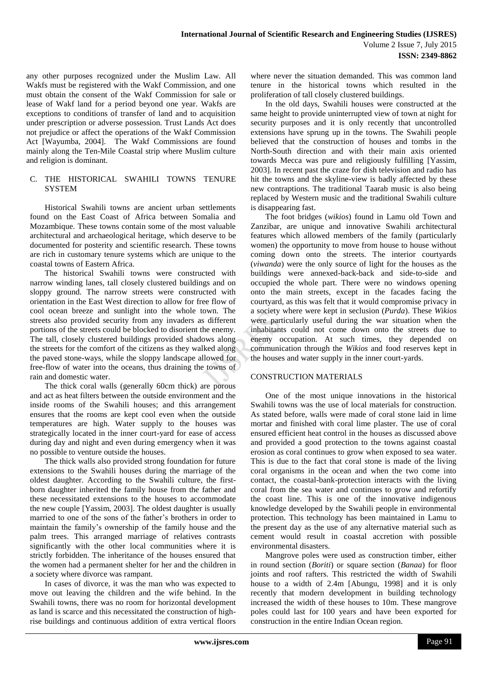any other purposes recognized under the Muslim Law. All Wakfs must be registered with the Wakf Commission, and one must obtain the consent of the Wakf Commission for sale or lease of Wakf land for a period beyond one year. Wakfs are exceptions to conditions of transfer of land and to acquisition under prescription or adverse possession. Trust Lands Act does not prejudice or affect the operations of the Wakf Commission Act [Wayumba, 2004]. The Wakf Commissions are found mainly along the Ten-Mile Coastal strip where Muslim culture and religion is dominant.

## C. THE HISTORICAL SWAHILI TOWNS TENURE **SYSTEM**

Historical Swahili towns are ancient urban settlements found on the East Coast of Africa between Somalia and Mozambique. These towns contain some of the most valuable architectural and archaeological heritage, which deserve to be documented for posterity and scientific research. These towns are rich in customary tenure systems which are unique to the coastal towns of Eastern Africa.

The historical Swahili towns were constructed with narrow winding lanes, tall closely clustered buildings and on sloppy ground. The narrow streets were constructed with orientation in the East West direction to allow for free flow of cool ocean breeze and sunlight into the whole town. The streets also provided security from any invaders as different portions of the streets could be blocked to disorient the enemy. The tall, closely clustered buildings provided shadows along the streets for the comfort of the citizens as they walked along the paved stone-ways, while the sloppy landscape allowed for free-flow of water into the oceans, thus draining the towns of rain and domestic water.

The thick coral walls (generally 60cm thick) are porous and act as heat filters between the outside environment and the inside rooms of the Swahili houses; and this arrangement ensures that the rooms are kept cool even when the outside temperatures are high. Water supply to the houses was strategically located in the inner court-yard for ease of access during day and night and even during emergency when it was no possible to venture outside the houses.

The thick walls also provided strong foundation for future extensions to the Swahili houses during the marriage of the oldest daughter. According to the Swahili culture, the firstborn daughter inherited the family house from the father and these necessitated extensions to the houses to accommodate the new couple [Yassim, 2003]. The oldest daughter is usually married to one of the sons of the father's brothers in order to maintain the family's ownership of the family house and the palm trees. This arranged marriage of relatives contrasts significantly with the other local communities where it is strictly forbidden. The inheritance of the houses ensured that the women had a permanent shelter for her and the children in a society where divorce was rampant.

In cases of divorce, it was the man who was expected to move out leaving the children and the wife behind. In the Swahili towns, there was no room for horizontal development as land is scarce and this necessitated the construction of highrise buildings and continuous addition of extra vertical floors

where never the situation demanded. This was common land tenure in the historical towns which resulted in the proliferation of tall closely clustered buildings.

In the old days, Swahili houses were constructed at the same height to provide uninterrupted view of town at night for security purposes and it is only recently that uncontrolled extensions have sprung up in the towns. The Swahili people believed that the construction of houses and tombs in the North-South direction and with their main axis oriented towards Mecca was pure and religiously fulfilling [Yassim, 2003]. In recent past the craze for dish television and radio has hit the towns and the skyline-view is badly affected by these new contraptions. The traditional Taarab music is also being replaced by Western music and the traditional Swahili culture is disappearing fast.

The foot bridges (*wikios*) found in Lamu old Town and Zanzibar, are unique and innovative Swahili architectural features which allowed members of the family (particularly women) the opportunity to move from house to house without coming down onto the streets. The interior courtyards (*viwanda*) were the only source of light for the houses as the buildings were annexed-back-back and side-to-side and occupied the whole part. There were no windows opening onto the main streets, except in the facades facing the courtyard, as this was felt that it would compromise privacy in a society where were kept in seclusion (*Purda*). These *Wikios* were particularly useful during the war situation when the inhabitants could not come down onto the streets due to enemy occupation. At such times, they depended on communication through the *Wikios* and food reserves kept in the houses and water supply in the inner court-yards.

## CONSTRUCTION MATERIALS

One of the most unique innovations in the historical Swahili towns was the use of local materials for construction. As stated before, walls were made of coral stone laid in lime mortar and finished with coral lime plaster. The use of coral ensured efficient heat control in the houses as discussed above and provided a good protection to the towns against coastal erosion as coral continues to grow when exposed to sea water. This is due to the fact that coral stone is made of the living coral organisms in the ocean and when the two come into contact, the coastal-bank-protection interacts with the living coral from the sea water and continues to grow and refortify the coast line. This is one of the innovative indigenous knowledge developed by the Swahili people in environmental protection. This technology has been maintained in Lamu to the present day as the use of any alternative material such as cement would result in coastal accretion with possible environmental disasters.

Mangrove poles were used as construction timber, either in round section (*Boriti*) or square section (*Banaa*) for floor joints and roof rafters. This restricted the width of Swahili house to a width of 2.4m [Abungu, 1998] and it is only recently that modern development in building technology increased the width of these houses to 10m. These mangrove poles could last for 100 years and have been exported for construction in the entire Indian Ocean region.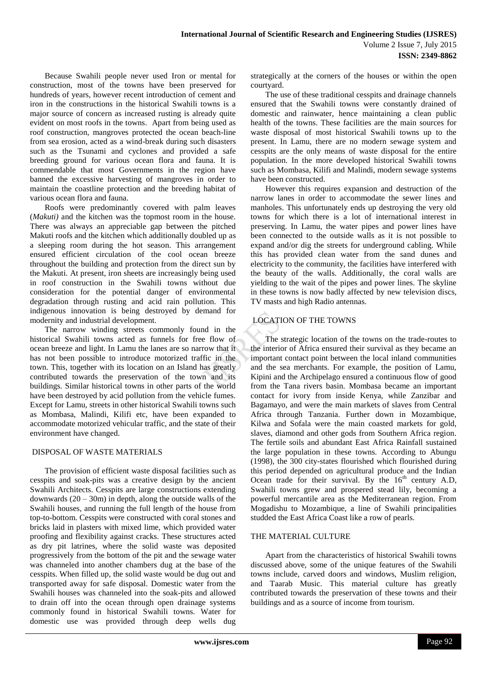Because Swahili people never used Iron or mental for construction, most of the towns have been preserved for hundreds of years, however recent introduction of cement and iron in the constructions in the historical Swahili towns is a major source of concern as increased rusting is already quite evident on most roofs in the towns. Apart from being used as roof construction, mangroves protected the ocean beach-line from sea erosion, acted as a wind-break during such disasters such as the Tsunami and cyclones and provided a safe breeding ground for various ocean flora and fauna. It is commendable that most Governments in the region have banned the excessive harvesting of mangroves in order to maintain the coastline protection and the breeding habitat of various ocean flora and fauna.

Roofs were predominantly covered with palm leaves (*Makuti)* and the kitchen was the topmost room in the house. There was always an appreciable gap between the pitched Makuti roofs and the kitchen which additionally doubled up as a sleeping room during the hot season. This arrangement ensured efficient circulation of the cool ocean breeze throughout the building and protection from the direct sun by the Makuti. At present, iron sheets are increasingly being used in roof construction in the Swahili towns without due consideration for the potential danger of environmental degradation through rusting and acid rain pollution. This indigenous innovation is being destroyed by demand for modernity and industrial development.

The narrow winding streets commonly found in the historical Swahili towns acted as funnels for free flow of ocean breeze and light. In Lamu the lanes are so narrow that it has not been possible to introduce motorized traffic in the town. This, together with its location on an Island has greatly contributed towards the preservation of the town and its buildings. Similar historical towns in other parts of the world have been destroyed by acid pollution from the vehicle fumes. Except for Lamu, streets in other historical Swahili towns such as Mombasa, Malindi, Kilifi etc, have been expanded to accommodate motorized vehicular traffic, and the state of their environment have changed.

## DISPOSAL OF WASTE MATERIALS

The provision of efficient waste disposal facilities such as cesspits and soak-pits was a creative design by the ancient Swahili Architects. Cesspits are large constructions extending downwards  $(20 - 30m)$  in depth, along the outside walls of the Swahili houses, and running the full length of the house from top-to-bottom. Cesspits were constructed with coral stones and bricks laid in plasters with mixed lime, which provided water proofing and flexibility against cracks. These structures acted as dry pit latrines, where the solid waste was deposited progressively from the bottom of the pit and the sewage water was channeled into another chambers dug at the base of the cesspits. When filled up, the solid waste would be dug out and transported away for safe disposal. Domestic water from the Swahili houses was channeled into the soak-pits and allowed to drain off into the ocean through open drainage systems commonly found in historical Swahili towns. Water for domestic use was provided through deep wells dug

strategically at the corners of the houses or within the open courtyard.

The use of these traditional cesspits and drainage channels ensured that the Swahili towns were constantly drained of domestic and rainwater, hence maintaining a clean public health of the towns. These facilities are the main sources for waste disposal of most historical Swahili towns up to the present. In Lamu, there are no modern sewage system and cesspits are the only means of waste disposal for the entire population. In the more developed historical Swahili towns such as Mombasa, Kilifi and Malindi, modern sewage systems have been constructed.

However this requires expansion and destruction of the narrow lanes in order to accommodate the sewer lines and manholes. This unfortunately ends up destroying the very old towns for which there is a lot of international interest in preserving. In Lamu, the water pipes and power lines have been connected to the outside walls as it is not possible to expand and/or dig the streets for underground cabling. While this has provided clean water from the sand dunes and electricity to the community, the facilities have interfered with the beauty of the walls. Additionally, the coral walls are yielding to the wait of the pipes and power lines. The skyline in these towns is now badly affected by new television discs, TV masts and high Radio antennas.

# LOCATION OF THE TOWNS

The strategic location of the towns on the trade-routes to the interior of Africa ensured their survival as they became an important contact point between the local inland communities and the sea merchants. For example, the position of Lamu, Kipini and the Archipelago ensured a continuous flow of good from the Tana rivers basin. Mombasa became an important contact for ivory from inside Kenya, while Zanzibar and Bagamayo, and were the main markets of slaves from Central Africa through Tanzania. Further down in Mozambique, Kilwa and Sofala were the main coasted markets for gold, slaves, diamond and other gods from Southern Africa region. The fertile soils and abundant East Africa Rainfall sustained the large population in these towns. According to Abungu (1998), the 300 city-states flourished which flourished during this period depended on agricultural produce and the Indian Ocean trade for their survival. By the  $16<sup>th</sup>$  century A.D, Swahili towns grew and prospered stead lily, becoming a powerful mercantile area as the Mediterranean region. From Mogadishu to Mozambique, a line of Swahili principalities studded the East Africa Coast like a row of pearls.

## THE MATERIAL CULTURE

Apart from the characteristics of historical Swahili towns discussed above, some of the unique features of the Swahili towns include, carved doors and windows, Muslim religion, and Taarab Music. This material culture has greatly contributed towards the preservation of these towns and their buildings and as a source of income from tourism.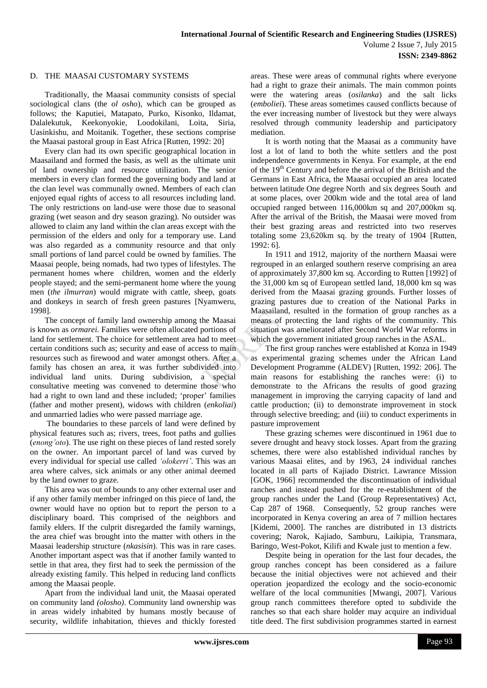## D. THE MAASAI CUSTOMARY SYSTEMS

Traditionally, the Maasai community consists of special sociological clans (the *ol osho*), which can be grouped as follows; the Kaputiei, Matapato, Purko, Kisonko, Ildamat, Dalalekutuk, Keekonyokie, Loodokilani, Loita, Siria, Uasinkishu, and Moitanik. Together, these sections comprise the Maasai pastoral group in East Africa [Rutten, 1992: 20]

Every clan had its own specific geographical location in Maasailand and formed the basis, as well as the ultimate unit of land ownership and resource utilization. The senior members in every clan formed the governing body and land at the clan level was communally owned. Members of each clan enjoyed equal rights of access to all resources including land. The only restrictions on land-use were those due to seasonal grazing (wet season and dry season grazing). No outsider was allowed to claim any land within the clan areas except with the permission of the elders and only for a temporary use. Land was also regarded as a community resource and that only small portions of land parcel could be owned by families. The Maasai people, being nomads, had two types of lifestyles. The permanent homes where children, women and the elderly people stayed; and the semi-permanent home where the young men (*the ilmurran*) would migrate with cattle, sheep, goats and donkeys in search of fresh green pastures [Nyamweru, 1998].

The concept of family land ownership among the Maasai is known as *ormarei.* Families were often allocated portions of land for settlement. The choice for settlement area had to meet certain conditions such as; security and ease of access to main resources such as firewood and water amongst others. After a family has chosen an area, it was further subdivided into individual land units. During subdivision, a special consultative meeting was convened to determine those who had a right to own land and these included; 'proper' families (father and mother present), widows with children (*enkoliai*) and unmarried ladies who were passed marriage age.

The boundaries to these parcels of land were defined by physical features such as; rivers, trees, foot paths and gullies (*enong'oto*). The use right on these pieces of land rested sorely on the owner. An important parcel of land was curved by every individual for special use called *'olokerri'*. This was an area where calves, sick animals or any other animal deemed by the land owner to graze.

This area was out of bounds to any other external user and if any other family member infringed on this piece of land, the owner would have no option but to report the person to a disciplinary board. This comprised of the neighbors and family elders. If the culprit disregarded the family warnings, the area chief was brought into the matter with others in the Maasai leadership structure (*nkasisin*). This was in rare cases. Another important aspect was that if another family wanted to settle in that area, they first had to seek the permission of the already existing family. This helped in reducing land conflicts among the Maasai people.

Apart from the individual land unit, the Maasai operated on community land *(olosho)*. Community land ownership was in areas widely inhabited by humans mostly because of security, wildlife inhabitation, thieves and thickly forested

areas. These were areas of communal rights where everyone had a right to graze their animals. The main common points were the watering areas (*osilanka*) and the salt licks (*emboliei*). These areas sometimes caused conflicts because of the ever increasing number of livestock but they were always resolved through community leadership and participatory mediation.

It is worth noting that the Maasai as a community have lost a lot of land to both the white settlers and the post independence governments in Kenya. For example, at the end of the 19th Century and before the arrival of the British and the Germans in East Africa, the Maasai occupied an area located between latitude One degree North and six degrees South and at some places, over 200km wide and the total area of land occupied ranged between 116,000km sq and 207,000km sq. After the arrival of the British, the Maasai were moved from their best grazing areas and restricted into two reserves totaling some 23,620km sq. by the treaty of 1904 [Rutten, 1992: 6].

In 1911 and 1912, majority of the northern Maasai were regrouped in an enlarged southern reserve comprising an area of approximately 37,800 km sq. According to Rutten [1992] of the 31,000 km sq of European settled land, 18,000 km sq was derived from the Maasai grazing grounds. Further losses of grazing pastures due to creation of the National Parks in Maasailand, resulted in the formation of group ranches as a means of protecting the land rights of the community. This situation was ameliorated after Second World War reforms in which the government initiated group ranches in the ASAL.

The first group ranches were established at Konza in 1949 as experimental grazing schemes under the African Land Development Programme (ALDEV) [Rutten, 1992: 206]. The main reasons for establishing the ranches were: (i) to demonstrate to the Africans the results of good grazing management in improving the carrying capacity of land and cattle production; (ii) to demonstrate improvement in stock through selective breeding; and (iii) to conduct experiments in pasture improvement

These grazing schemes were discontinued in 1961 due to severe drought and heavy stock losses. Apart from the grazing schemes, there were also established individual ranches by various Maasai elites, and by 1963, 24 individual ranches located in all parts of Kajiado District. Lawrance Mission [GOK, 1966] recommended the discontinuation of individual ranches and instead pushed for the re-establishment of the group ranches under the Land (Group Representatives) Act, Cap 287 of 1968. Consequently, 52 group ranches were incorporated in Kenya covering an area of 7 million hectares [Kidemi, 2000]. The ranches are distributed in 13 districts covering; Narok, Kajiado, Samburu, Laikipia, Transmara, Baringo, West-Pokot, Kilifi and Kwale just to mention a few.

Despite being in operation for the last four decades, the group ranches concept has been considered as a failure because the initial objectives were not achieved and their operation jeopardized the ecology and the socio-economic welfare of the local communities [Mwangi, 2007]. Various group ranch committees therefore opted to subdivide the ranches so that each share holder may acquire an individual title deed. The first subdivision programmes started in earnest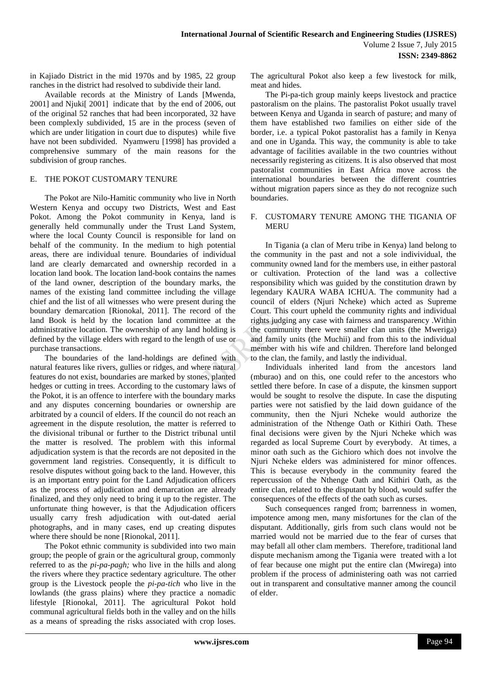in Kajiado District in the mid 1970s and by 1985, 22 group ranches in the district had resolved to subdivide their land.

Available records at the Ministry of Lands [Mwenda, 2001] and Njuki[ 2001] indicate that by the end of 2006, out of the original 52 ranches that had been incorporated, 32 have been complexly subdivided, 15 are in the process (seven of which are under litigation in court due to disputes) while five have not been subdivided. Nyamweru [1998] has provided a comprehensive summary of the main reasons for the subdivision of group ranches.

## E. THE POKOT CUSTOMARY TENURE

The Pokot are Nilo-Hamitic community who live in North Western Kenya and occupy two Districts, West and East Pokot. Among the Pokot community in Kenya, land is generally held communally under the Trust Land System, where the local County Council is responsible for land on behalf of the community. In the medium to high potential areas, there are individual tenure. Boundaries of individual land are clearly demarcated and ownership recorded in a location land book. The location land-book contains the names of the land owner, description of the boundary marks, the names of the existing land committee including the village chief and the list of all witnesses who were present during the boundary demarcation [Rionokal, 2011]. The record of the land Book is held by the location land committee at the administrative location. The ownership of any land holding is defined by the village elders with regard to the length of use or purchase transactions.

The boundaries of the land-holdings are defined with natural features like rivers, gullies or ridges, and where natural features do not exist, boundaries are marked by stones, planted hedges or cutting in trees. According to the customary laws of the Pokot, it is an offence to interfere with the boundary marks and any disputes concerning boundaries or ownership are arbitrated by a council of elders. If the council do not reach an agreement in the dispute resolution, the matter is referred to the divisional tribunal or further to the District tribunal until the matter is resolved. The problem with this informal adjudication system is that the records are not deposited in the government land registries. Consequently, it is difficult to resolve disputes without going back to the land. However, this is an important entry point for the Land Adjudication officers as the process of adjudication and demarcation are already finalized, and they only need to bring it up to the register. The unfortunate thing however, is that the Adjudication officers usually carry fresh adjudication with out-dated aerial photographs, and in many cases, end up creating disputes where there should be none [Rionokal, 2011].

The Pokot ethnic community is subdivided into two main group; the people of grain or the agricultural group, commonly referred to as the *pi-pa-pagh;* who live in the hills and along the rivers where they practice sedentary agriculture. The other group is the Livestock people the *pi-pa-tich* who live in the lowlands (the grass plains) where they practice a nomadic lifestyle [Rionokal, 2011]. The agricultural Pokot hold communal agricultural fields both in the valley and on the hills as a means of spreading the risks associated with crop loses.

The agricultural Pokot also keep a few livestock for milk, meat and hides.

The Pi-pa-tich group mainly keeps livestock and practice pastoralism on the plains. The pastoralist Pokot usually travel between Kenya and Uganda in search of pasture; and many of them have established two families on either side of the border, i.e. a typical Pokot pastoralist has a family in Kenya and one in Uganda. This way, the community is able to take advantage of facilities available in the two countries without necessarily registering as citizens. It is also observed that most pastoralist communities in East Africa move across the international boundaries between the different countries without migration papers since as they do not recognize such boundaries.

#### F. CUSTOMARY TENURE AMONG THE TIGANIA OF **MERU**

In Tigania (a clan of Meru tribe in Kenya) land belong to the community in the past and not a sole indivividual, the community owned land for the members use, in either pastoral or cultivation. Protection of the land was a collective responsibility which was guided by the constitution drawn by legendary KAURA WABA ICHUA. The community had a council of elders (Njuri Ncheke) which acted as Supreme Court. This court upheld the community rights and individual rights judging any case with fairness and transparency .Within the community there were smaller clan units (the Mweriga) and family units (the Muchii) and from this to the individual member with his wife and children. Therefore land belonged to the clan, the family, and lastly the individual.

Individuals inherited land from the ancestors land (mburao) and on this, one could refer to the ancestors who settled there before. In case of a dispute, the kinsmen support would be sought to resolve the dispute. In case the disputing parties were not satisfied by the laid down guidance of the community, then the Njuri Ncheke would authorize the administration of the Nthenge Oath or Kithiri Oath. These final decisions were given by the Njuri Ncheke which was regarded as local Supreme Court by everybody. At times, a minor oath such as the Gichioro which does not involve the Njuri Ncheke elders was administered for minor offences. This is because everybody in the community feared the repercussion of the Nthenge Oath and Kithiri Oath, as the entire clan, related to the disputant by blood, would suffer the consequences of the effects of the oath such as curses.

Such consequences ranged from; barrenness in women, impotence among men, many misfortunes for the clan of the disputant. Additionally, girls from such clans would not be married would not be married due to the fear of curses that may befall all other clam members. Therefore, traditional land dispute mechanism among the Tigania were treated with a lot of fear because one might put the entire clan (Mwirega) into problem if the process of administering oath was not carried out in transparent and consultative manner among the council of elder.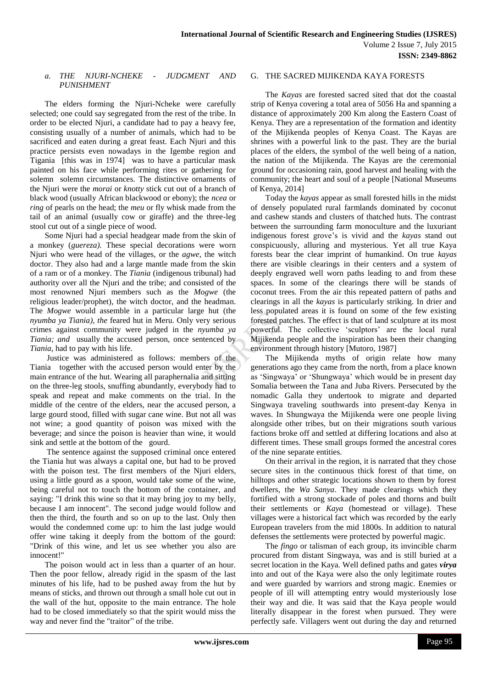# *a. THE NJURI-NCHEKE - JUDGMENT AND PUNISHMENT*

The elders forming the Njuri-Ncheke were carefully selected; one could say segregated from the rest of the tribe. In order to be elected Njuri, a candidate had to pay a heavy fee, consisting usually of a number of animals, which had to be sacrificed and eaten during a great feast. Each Njuri and this practice persists even nowadays in the Igembe region and Tigania [this was in 1974] was to have a particular mask painted on his face while performing rites or gathering for solemn solemn circumstances. The distinctive ornaments of the Njuri were the *morai* or *knotty* stick cut out of a branch of black wood (usually African blackwood or ebony); the *ncea* or *ring* of pearls on the head; the *meu* or fly whisk made from the tail of an animal (usually cow or giraffe) and the three-leg stool cut out of a single piece of wood.

Some Njuri had a special headgear made from the skin of a monkey (*guereza).* These special decorations were worn Njuri who were head of the villages, or the *agwe*, the witch doctor. They also had and a large mantle made from the skin of a ram or of a monkey. The *Tiania* (indigenous tribunal) had authority over all the Njuri and the tribe; and consisted of the most renowned Njuri members such as the *Mogwe* (the religious leader/prophet), the witch doctor, and the headman. The *Mogwe* would assemble in a particular large hut (the *nyumba ya Tiania), the* feared hut in Meru. Only very serious crimes against community were judged in the *nyumba ya Tiania; and* usually the accused person, once sentenced by *Tiania*, had to pay with his life.

Justice was administered as follows: members of the Tiania together with the accused person would enter by the main entrance of the hut. Wearing all paraphernalia and sitting on the three-leg stools, snuffing abundantly, everybody had to speak and repeat and make comments on the trial. In the middle of the centre of the elders, near the accused person, a large gourd stood, filled with sugar cane wine. But not all was not wine; a good quantity of poison was mixed with the beverage; and since the poison is heavier than wine, it would sink and settle at the bottom of the gourd.

The sentence against the supposed criminal once entered the Tiania hut was always a capital one, but had to be proved with the poison test. The first members of the Njuri elders, using a little gourd as a spoon, would take some of the wine, being careful not to touch the bottom of the container, and saying: "I drink this wine so that it may bring joy to my belly, because I am innocent". The second judge would follow and then the third, the fourth and so on up to the last. Only then would the condemned come up: to him the last judge would offer wine taking it deeply from the bottom of the gourd: "Drink of this wine, and let us see whether you also are innocent!"

The poison would act in less than a quarter of an hour. Then the poor fellow, already rigid in the spasm of the last minutes of his life, had to be pushed away from the hut by means of sticks, and thrown out through a small hole cut out in the wall of the hut, opposite to the main entrance. The hole had to be closed immediately so that the spirit would miss the way and never find the "traitor" of the tribe.

## G. THE SACRED MIJIKENDA KAYA FORESTS

The *Kayas* are forested sacred sited that dot the coastal strip of Kenya covering a total area of 5056 Ha and spanning a distance of approximately 200 Km along the Eastern Coast of Kenya. They are a representation of the formation and identity of the Mijikenda peoples of Kenya Coast. The Kayas are shrines with a powerful link to the past. They are the burial places of the elders, the symbol of the well being of a nation, the nation of the Mijikenda. The Kayas are the ceremonial ground for occasioning rain, good harvest and healing with the community; the heart and soul of a people [National Museums of Kenya, 2014]

Today the *kayas* appear as small forested hills in the midst of densely populated rural farmlands dominated by coconut and cashew stands and clusters of thatched huts. The contrast between the surrounding farm monoculture and the luxuriant indigenous forest grove's is vivid and the *kayas* stand out conspicuously, alluring and mysterious. Yet all true Kaya forests bear the clear imprint of humankind. On true *kayas* there are visible clearings in their centers and a system of deeply engraved well worn paths leading to and from these spaces. In some of the clearings there will be stands of coconut trees. From the air this repeated pattern of paths and clearings in all the *kayas* is particularly striking. In drier and less populated areas it is found on some of the few existing forested patches. The effect is that of land sculpture at its most powerful. The collective 'sculptors' are the local rural Mijikenda people and the inspiration has been their changing environment through history [Mutoro, 1987]

The Mijikenda myths of origin relate how many generations ago they came from the north, from a place known as 'Singwaya' or 'Shungwaya' which would be in present day Somalia between the Tana and Juba Rivers. Persecuted by the nomadic Galla they undertook to migrate and departed Singwaya traveling southwards into present-day Kenya in waves. In Shungwaya the Mijikenda were one people living alongside other tribes, but on their migrations south various factions broke off and settled at differing locations and also at different times. These small groups formed the ancestral cores of the nine separate entities.

On their arrival in the region, it is narrated that they chose secure sites in the continuous thick forest of that time, on hilltops and other strategic locations shown to them by forest dwellers, the *Wa Sanya*. They made clearings which they fortified with a strong stockade of poles and thorns and built their settlements or *Kaya* (homestead or village). These villages were a historical fact which was recorded by the early European travelers from the mid 1800s. In addition to natural defenses the settlements were protected by powerful magic.

The *fingo* or talisman of each group, its invincible charm procured from distant Singwaya, was and is still buried at a secret location in the Kaya. Well defined paths and gates *virya* into and out of the Kaya were also the only legitimate routes and were guarded by warriors and strong magic. Enemies or people of ill will attempting entry would mysteriously lose their way and die. It was said that the Kaya people would literally disappear in the forest when pursued. They were perfectly safe. Villagers went out during the day and returned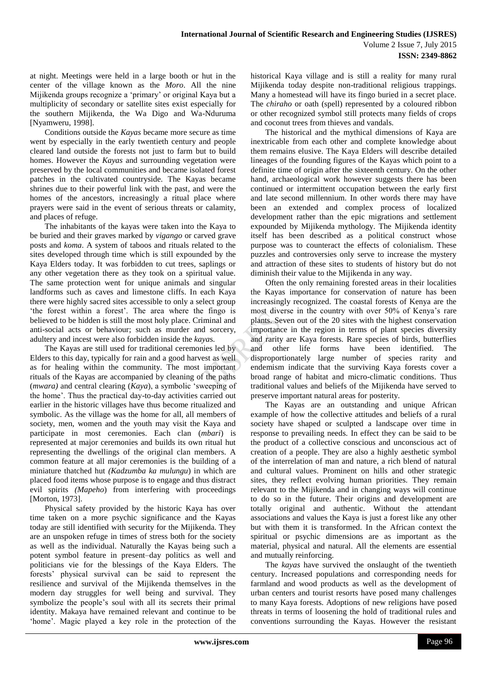at night. Meetings were held in a large booth or hut in the center of the village known as the *Moro*. All the nine Mijikenda groups recognize a 'primary' or original Kaya but a multiplicity of secondary or satellite sites exist especially for the southern Mijikenda, the Wa Digo and Wa-Nduruma [Nyamweru, 1998].

Conditions outside the *Kayas* became more secure as time went by especially in the early twentieth century and people cleared land outside the forests not just to farm but to build homes. However the *Kayas* and surrounding vegetation were preserved by the local communities and became isolated forest patches in the cultivated countryside. The Kayas became shrines due to their powerful link with the past, and were the homes of the ancestors, increasingly a ritual place where prayers were said in the event of serious threats or calamity, and places of refuge.

The inhabitants of the kayas were taken into the Kaya to be buried and their graves marked by *vigango* or carved grave posts and *koma*. A system of taboos and rituals related to the sites developed through time which is still expounded by the Kaya Elders today. It was forbidden to cut trees, saplings or any other vegetation there as they took on a spiritual value. The same protection went for unique animals and singular landforms such as caves and limestone cliffs. In each Kaya there were highly sacred sites accessible to only a select group 'the forest within a forest'. The area where the fingo is believed to be hidden is still the most holy place. Criminal and anti-social acts or behaviour; such as murder and sorcery, adultery and incest were also forbidden inside the *kaya*s.

The Kayas are still used for traditional ceremonies led by Elders to this day, typically for rain and a good harvest as well as for healing within the community. The most important rituals of the Kayas are accompanied by cleaning of the paths (*mwara)* and central clearing (*Kaya*), a symbolic 'sweeping of the home'. Thus the practical day-to-day activities carried out earlier in the historic villages have thus become ritualized and symbolic. As the village was the home for all, all members of society, men, women and the youth may visit the Kaya and participate in most ceremonies. Each clan (*mbari*) is represented at major ceremonies and builds its own ritual hut representing the dwellings of the original clan members. A common feature at all major ceremonies is the building of a miniature thatched hut *(Kadzumba ka mulungu*) in which are placed food items whose purpose is to engage and thus distract evil spirits *(Mapeho*) from interfering with proceedings [Morton, 1973].

Physical safety provided by the historic Kaya has over time taken on a more psychic significance and the Kayas today are still identified with security for the Mijikenda. They are an unspoken refuge in times of stress both for the society as well as the individual. Naturally the Kayas being such a potent symbol feature in present–day politics as well and politicians vie for the blessings of the Kaya Elders. The forests' physical survival can be said to represent the resilience and survival of the Mijikenda themselves in the modern day struggles for well being and survival. They symbolize the people's soul with all its secrets their primal identity. Makaya have remained relevant and continue to be 'home'. Magic played a key role in the protection of the

historical Kaya village and is still a reality for many rural Mijikenda today despite non-traditional religious trappings. Many a homestead will have its fingo buried in a secret place. The *chiraho* or oath (spell) represented by a coloured ribbon or other recognized symbol still protects many fields of crops and coconut trees from thieves and vandals.

The historical and the mythical dimensions of Kaya are inextricable from each other and complete knowledge about them remains elusive. The Kaya Elders will describe detailed lineages of the founding figures of the Kayas which point to a definite time of origin after the sixteenth century. On the other hand, archaeological work however suggests there has been continued or intermittent occupation between the early first and late second millennium. In other words there may have been an extended and complex process of localized development rather than the epic migrations and settlement expounded by Mijikenda mythology. The Mijikenda identity itself has been described as a political construct whose purpose was to counteract the effects of colonialism. These puzzles and controversies only serve to increase the mystery and attraction of these sites to students of history but do not diminish their value to the Mijikenda in any way.

Often the only remaining forested areas in their localities the Kayas importance for conservation of nature has been increasingly recognized. The coastal forests of Kenya are the most diverse in the country with over 50% of Kenya's rare plants. Seven out of the 20 sites with the highest conservation importance in the region in terms of plant species diversity and rarity are Kaya forests. Rare species of birds, butterflies and other life forms have been identified. The disproportionately large number of species rarity and endemism indicate that the surviving Kaya forests cover a broad range of habitat and micro-climatic conditions. Thus traditional values and beliefs of the Mijikenda have served to preserve important natural areas for posterity.

The Kayas are an outstanding and unique African example of how the collective attitudes and beliefs of a rural society have shaped or sculpted a landscape over time in response to prevailing needs. In effect they can be said to be the product of a collective conscious and unconscious act of creation of a people. They are also a highly aesthetic symbol of the interrelation of man and nature, a rich blend of natural and cultural values. Prominent on hills and other strategic sites, they reflect evolving human priorities. They remain relevant to the Mijikenda and in changing ways will continue to do so in the future. Their origins and development are totally original and authentic. Without the attendant associations and values the Kaya is just a forest like any other but with them it is transformed. In the African context the spiritual or psychic dimensions are as important as the material, physical and natural. All the elements are essential and mutually reinforcing.

The *kayas* have survived the onslaught of the twentieth century. Increased populations and corresponding needs for farmland and wood products as well as the development of urban centers and tourist resorts have posed many challenges to many Kaya forests. Adoptions of new religions have posed threats in terms of loosening the hold of traditional rules and conventions surrounding the Kayas. However the resistant